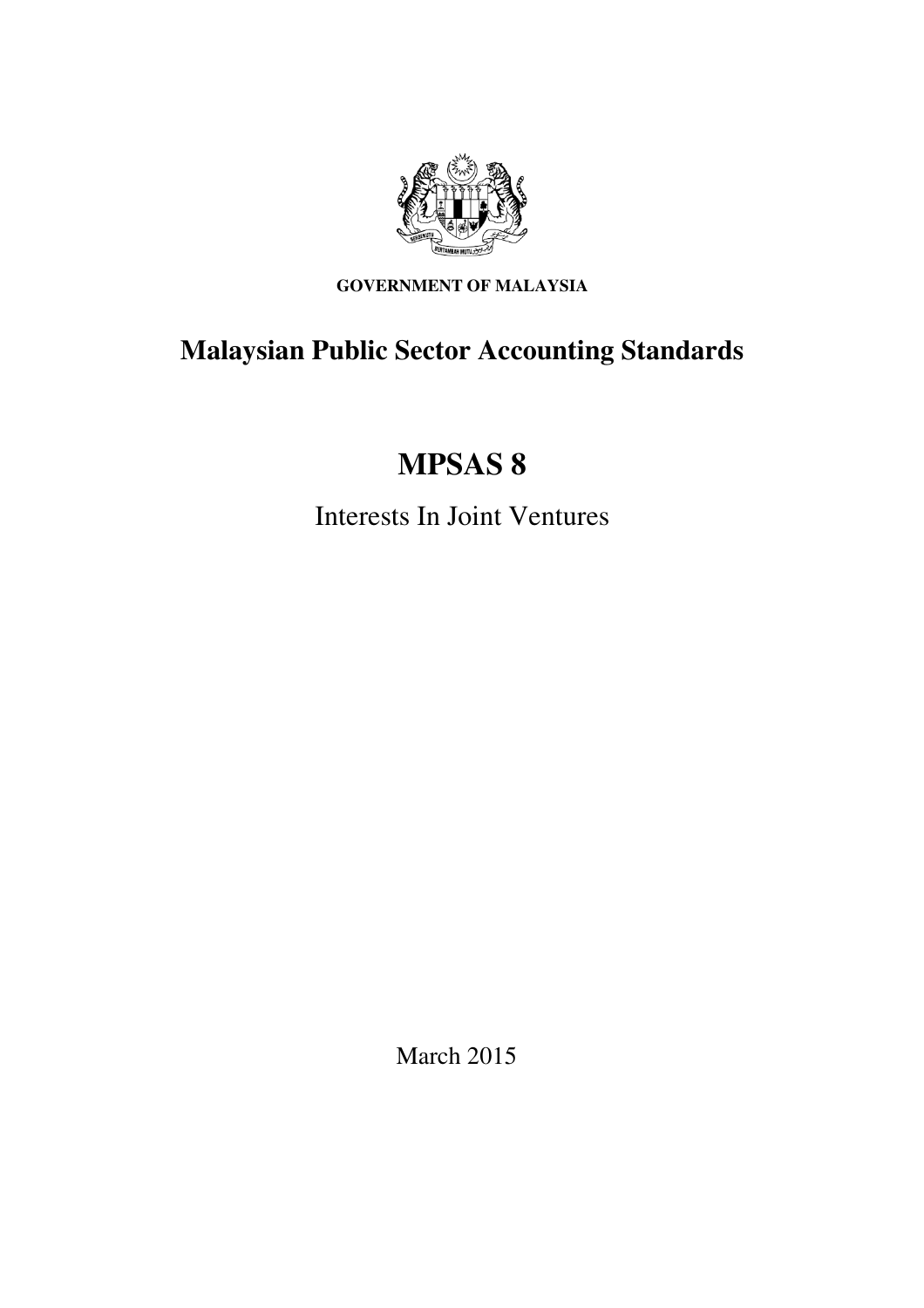

**GOVERNMENT OF MALAYSIA** 

# **Malaysian Public Sector Accounting Standards**

# **MPSAS 8**

Interests In Joint Ventures

March 2015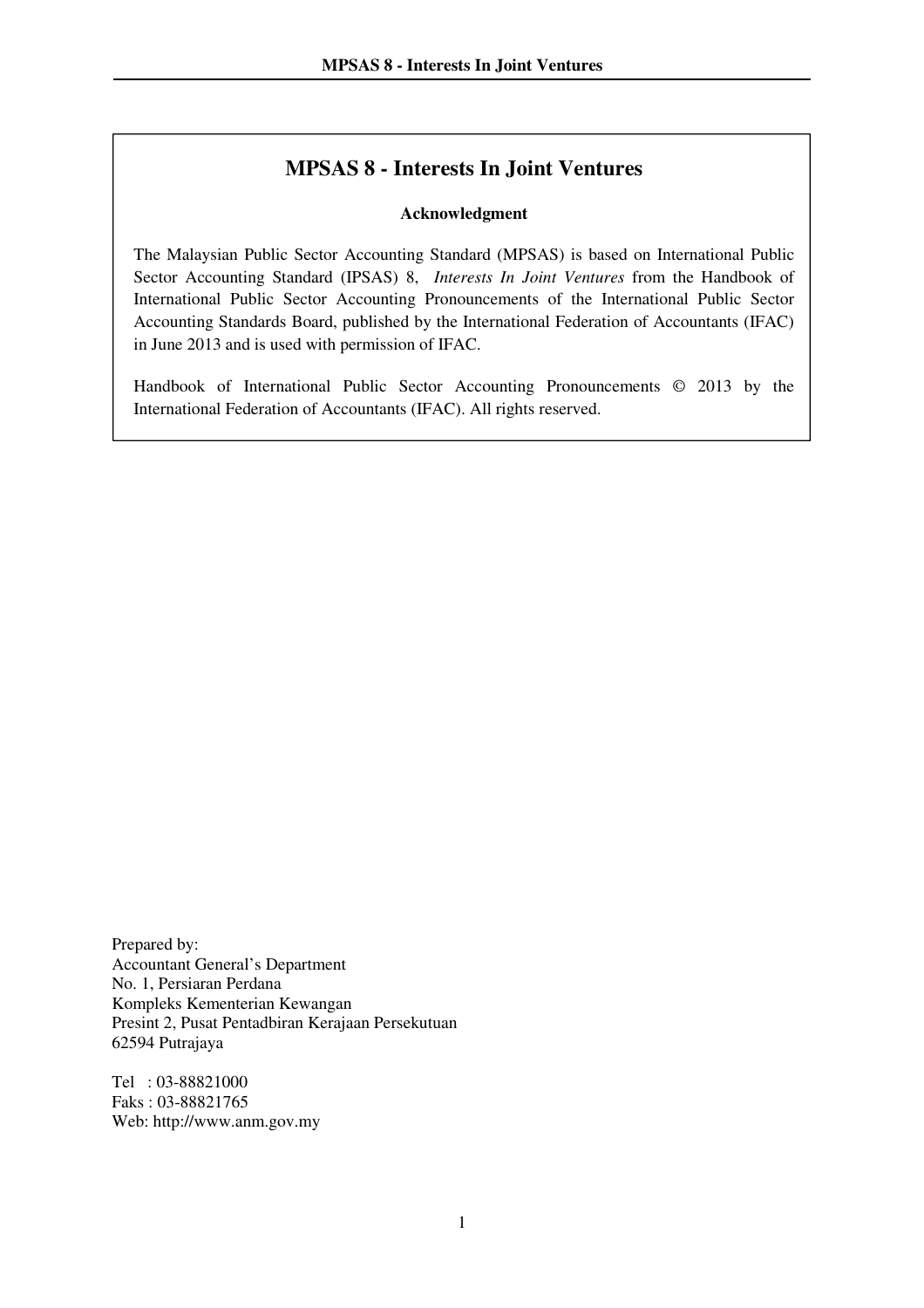## **MPSAS 8 - Interests In Joint Ventures**

#### **Acknowledgment**

The Malaysian Public Sector Accounting Standard (MPSAS) is based on International Public Sector Accounting Standard (IPSAS) 8, *Interests In Joint Ventures* from the Handbook of International Public Sector Accounting Pronouncements of the International Public Sector Accounting Standards Board, published by the International Federation of Accountants (IFAC) in June 2013 and is used with permission of IFAC.

Handbook of International Public Sector Accounting Pronouncements © 2013 by the International Federation of Accountants (IFAC). All rights reserved.

Prepared by: Accountant General's Department No. 1, Persiaran Perdana Kompleks Kementerian Kewangan Presint 2, Pusat Pentadbiran Kerajaan Persekutuan 62594 Putrajaya

Tel : 03-88821000 Faks : 03-88821765 Web: http://www.anm.gov.my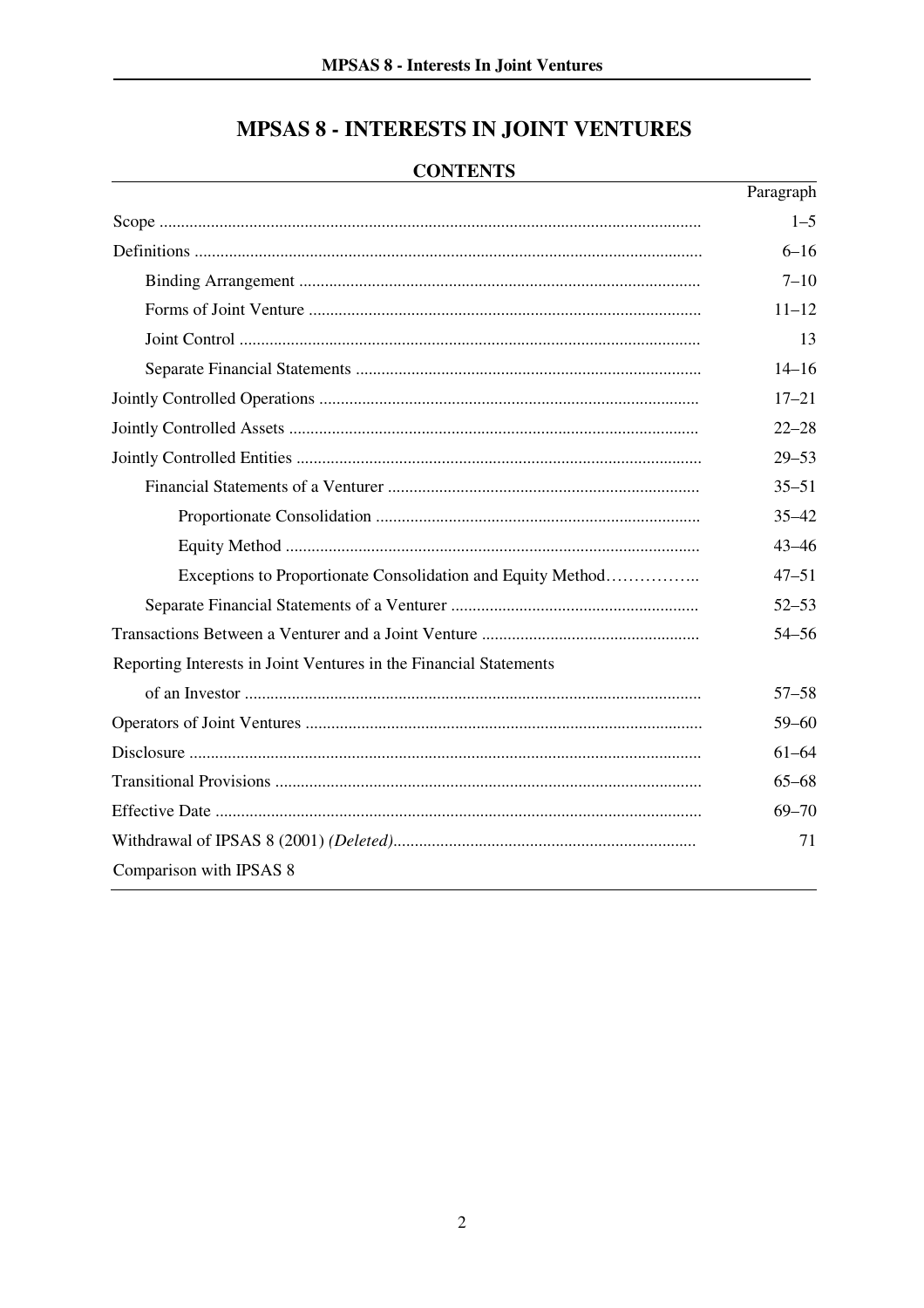# **MPSAS 8 - INTERESTS IN JOINT VENTURES**

## **CONTENTS**

|                                                                   | Paragraph |
|-------------------------------------------------------------------|-----------|
|                                                                   | $1 - 5$   |
|                                                                   | $6 - 16$  |
|                                                                   | $7 - 10$  |
|                                                                   | $11 - 12$ |
|                                                                   | 13        |
|                                                                   | $14 - 16$ |
|                                                                   | $17 - 21$ |
|                                                                   | $22 - 28$ |
|                                                                   | $29 - 53$ |
|                                                                   | $35 - 51$ |
|                                                                   | $35 - 42$ |
|                                                                   | $43 - 46$ |
| Exceptions to Proportionate Consolidation and Equity Method       | $47 - 51$ |
|                                                                   | $52 - 53$ |
|                                                                   | $54 - 56$ |
| Reporting Interests in Joint Ventures in the Financial Statements |           |
|                                                                   | $57 - 58$ |
|                                                                   | $59 - 60$ |
|                                                                   | $61 - 64$ |
|                                                                   | $65 - 68$ |
|                                                                   | $69 - 70$ |
|                                                                   | 71        |
| Comparison with IPSAS 8                                           |           |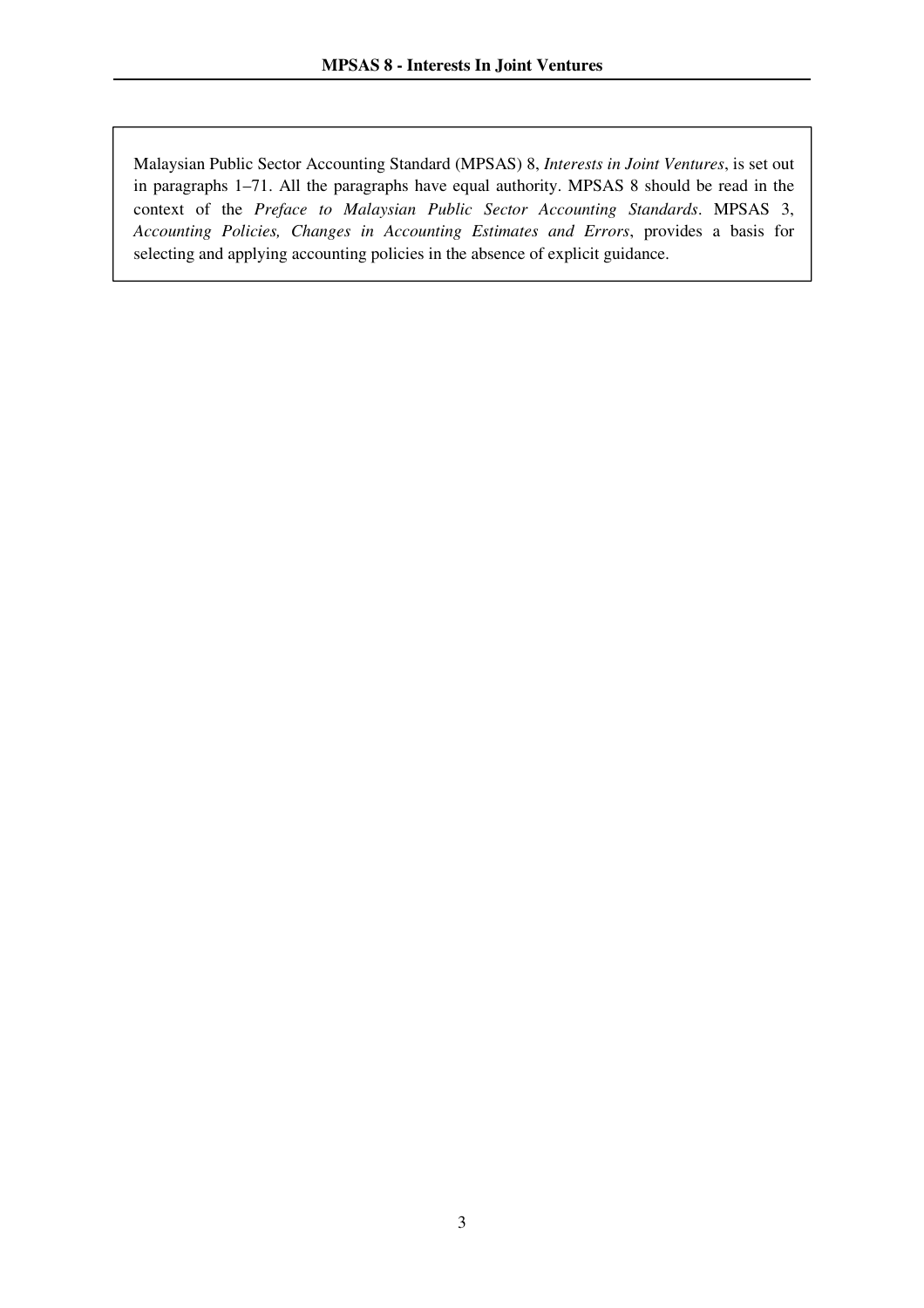$\overline{a}$ 

Malaysian Public Sector Accounting Standard (MPSAS) 8, *Interests in Joint Ventures*, is set out in paragraphs 1–71. All the paragraphs have equal authority. MPSAS 8 should be read in the context of the *Preface to Malaysian Public Sector Accounting Standards*. MPSAS 3, *Accounting Policies, Changes in Accounting Estimates and Errors*, provides a basis for selecting and applying accounting policies in the absence of explicit guidance.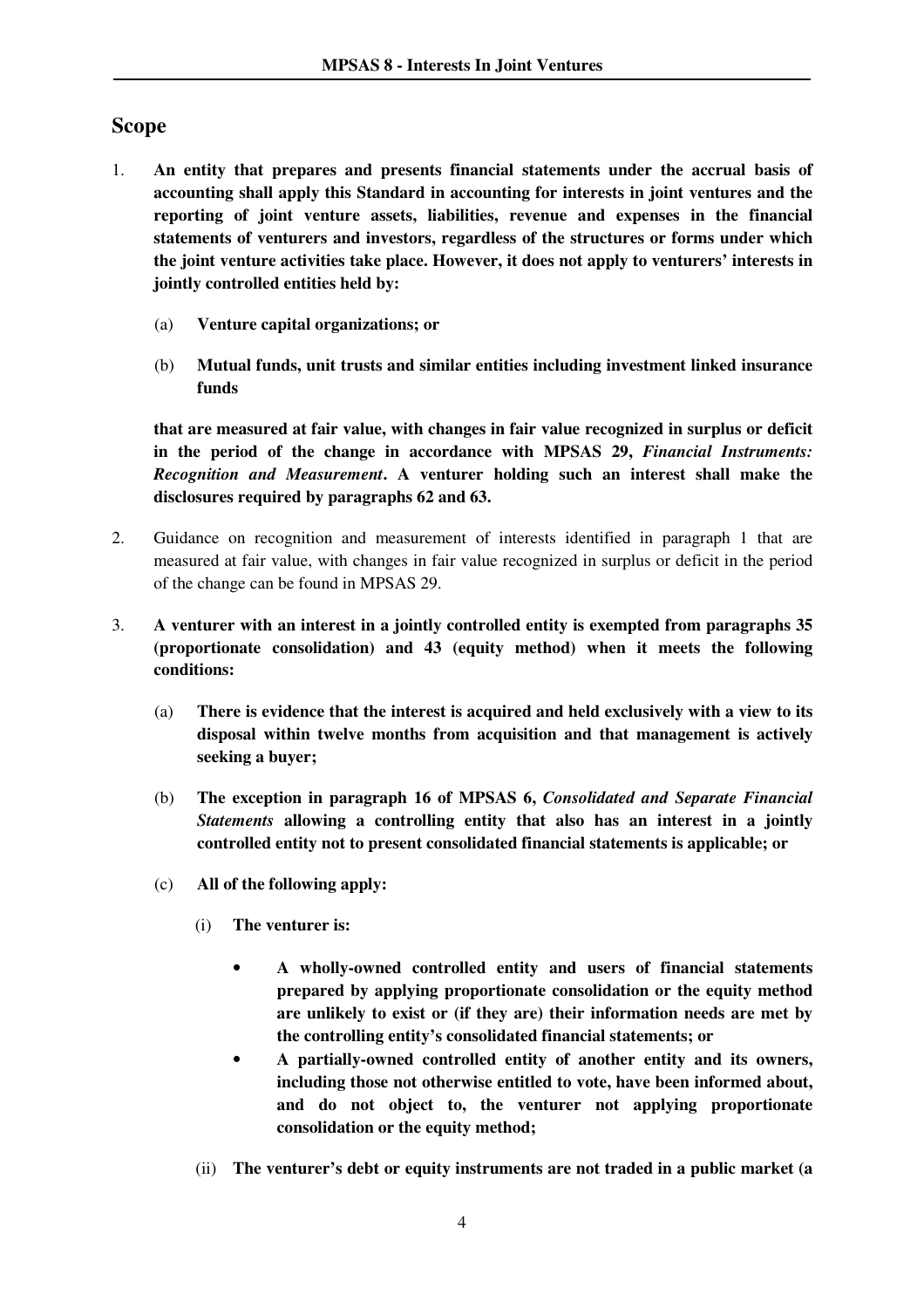## **Scope**

- 1. **An entity that prepares and presents financial statements under the accrual basis of accounting shall apply this Standard in accounting for interests in joint ventures and the reporting of joint venture assets, liabilities, revenue and expenses in the financial statements of venturers and investors, regardless of the structures or forms under which the joint venture activities take place. However, it does not apply to venturers' interests in jointly controlled entities held by:** 
	- (a) **Venture capital organizations; or**
	- (b) **Mutual funds, unit trusts and similar entities including investment linked insurance funds**

**that are measured at fair value, with changes in fair value recognized in surplus or deficit in the period of the change in accordance with MPSAS 29,** *Financial Instruments: Recognition and Measurement***. A venturer holding such an interest shall make the disclosures required by paragraphs 62 and 63.**

- 2. Guidance on recognition and measurement of interests identified in paragraph 1 that are measured at fair value, with changes in fair value recognized in surplus or deficit in the period of the change can be found in MPSAS 29.
- 3. **A venturer with an interest in a jointly controlled entity is exempted from paragraphs 35 (proportionate consolidation) and 43 (equity method) when it meets the following conditions:** 
	- (a) **There is evidence that the interest is acquired and held exclusively with a view to its disposal within twelve months from acquisition and that management is actively seeking a buyer;**
	- (b) **The exception in paragraph 16 of MPSAS 6,** *Consolidated and Separate Financial Statements* **allowing a controlling entity that also has an interest in a jointly controlled entity not to present consolidated financial statements is applicable; or**
	- (c) **All of the following apply:** 
		- (i) **The venturer is:** 
			- **A wholly-owned controlled entity and users of financial statements prepared by applying proportionate consolidation or the equity method are unlikely to exist or (if they are) their information needs are met by the controlling entity's consolidated financial statements; or**
			- **A partially-owned controlled entity of another entity and its owners, including those not otherwise entitled to vote, have been informed about, and do not object to, the venturer not applying proportionate consolidation or the equity method;**
		- (ii) **The venturer's debt or equity instruments are not traded in a public market (a**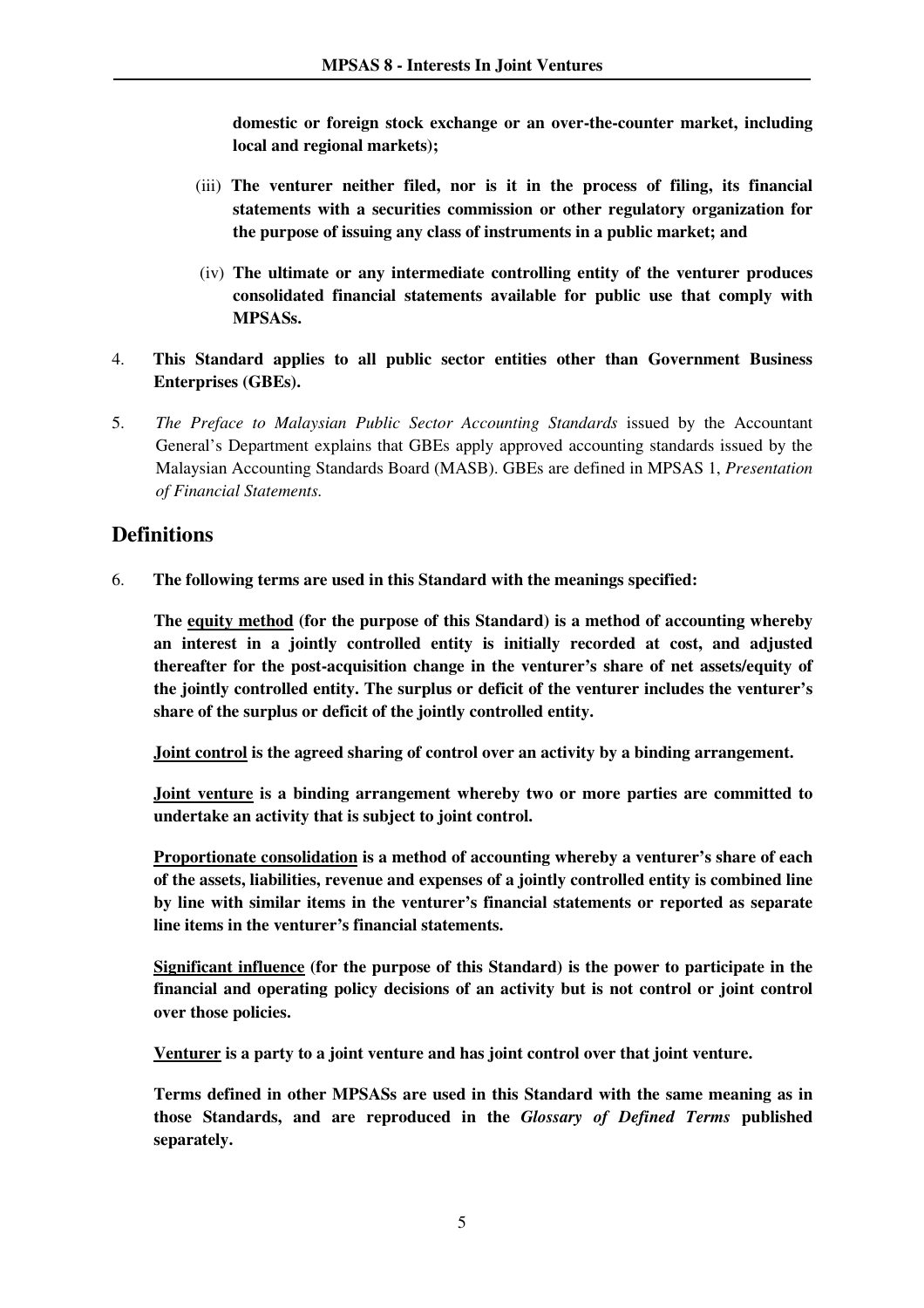**domestic or foreign stock exchange or an over-the-counter market, including local and regional markets);** 

- (iii) **The venturer neither filed, nor is it in the process of filing, its financial statements with a securities commission or other regulatory organization for the purpose of issuing any class of instruments in a public market; and**
- (iv) **The ultimate or any intermediate controlling entity of the venturer produces consolidated financial statements available for public use that comply with MPSASs.**
- 4. **This Standard applies to all public sector entities other than Government Business Enterprises (GBEs).**
- 5. *The Preface to Malaysian Public Sector Accounting Standards* issued by the Accountant General's Department explains that GBEs apply approved accounting standards issued by the Malaysian Accounting Standards Board (MASB). GBEs are defined in MPSAS 1, *Presentation of Financial Statements.*

## **Definitions**

6. **The following terms are used in this Standard with the meanings specified:** 

**The equity method (for the purpose of this Standard) is a method of accounting whereby an interest in a jointly controlled entity is initially recorded at cost, and adjusted thereafter for the post-acquisition change in the venturer's share of net assets/equity of the jointly controlled entity. The surplus or deficit of the venturer includes the venturer's share of the surplus or deficit of the jointly controlled entity.** 

**Joint control is the agreed sharing of control over an activity by a binding arrangement.** 

**Joint venture is a binding arrangement whereby two or more parties are committed to undertake an activity that is subject to joint control.** 

**Proportionate consolidation is a method of accounting whereby a venturer's share of each of the assets, liabilities, revenue and expenses of a jointly controlled entity is combined line by line with similar items in the venturer's financial statements or reported as separate line items in the venturer's financial statements.**

**Significant influence (for the purpose of this Standard) is the power to participate in the financial and operating policy decisions of an activity but is not control or joint control over those policies.**

**Venturer is a party to a joint venture and has joint control over that joint venture.**

**Terms defined in other MPSASs are used in this Standard with the same meaning as in those Standards, and are reproduced in the** *Glossary of Defined Terms* **published separately.**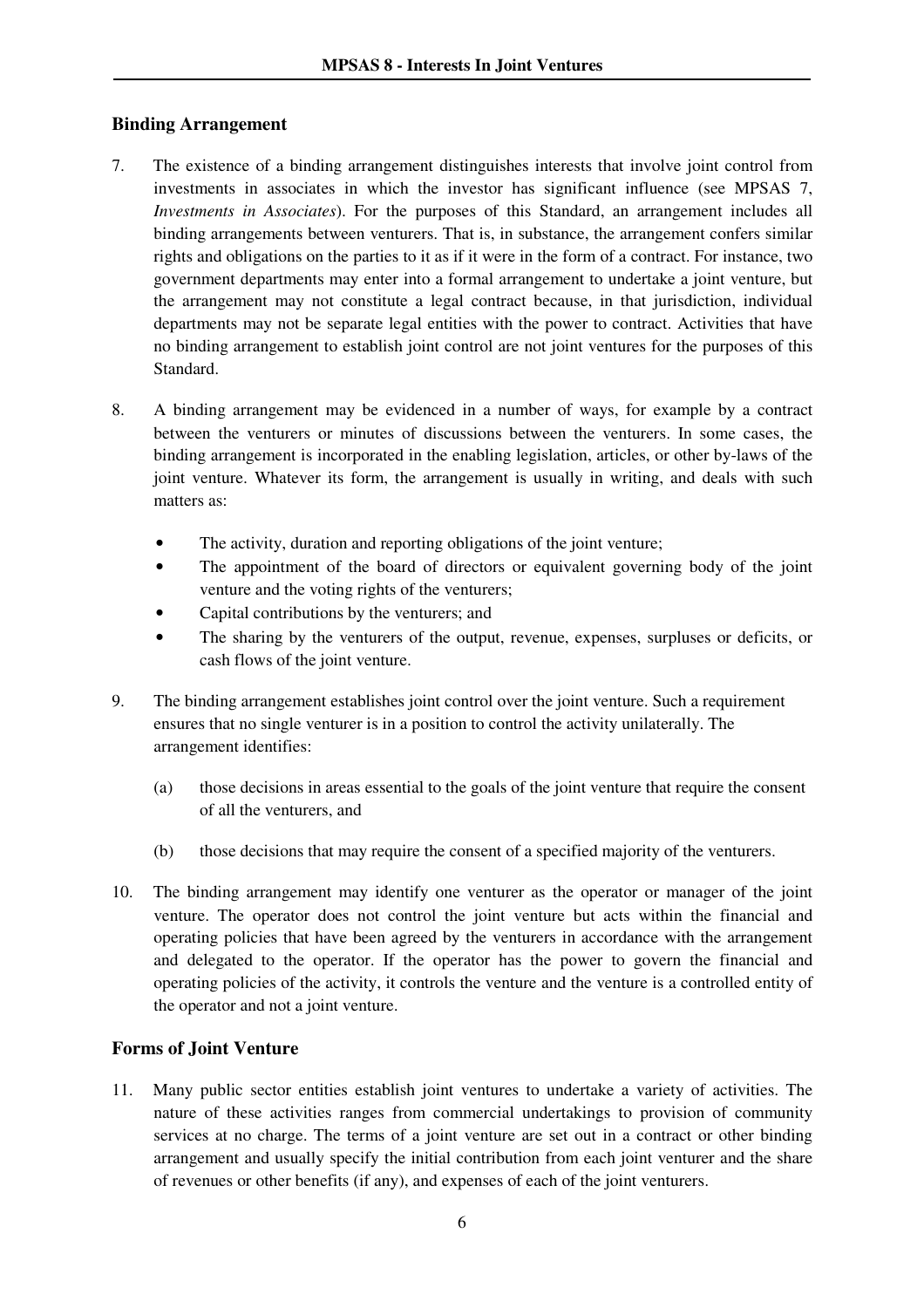#### **Binding Arrangement**

- 7. The existence of a binding arrangement distinguishes interests that involve joint control from investments in associates in which the investor has significant influence (see MPSAS 7, *Investments in Associates*). For the purposes of this Standard, an arrangement includes all binding arrangements between venturers. That is, in substance, the arrangement confers similar rights and obligations on the parties to it as if it were in the form of a contract. For instance, two government departments may enter into a formal arrangement to undertake a joint venture, but the arrangement may not constitute a legal contract because, in that jurisdiction, individual departments may not be separate legal entities with the power to contract. Activities that have no binding arrangement to establish joint control are not joint ventures for the purposes of this Standard.
- 8. A binding arrangement may be evidenced in a number of ways, for example by a contract between the venturers or minutes of discussions between the venturers. In some cases, the binding arrangement is incorporated in the enabling legislation, articles, or other by-laws of the joint venture. Whatever its form, the arrangement is usually in writing, and deals with such matters as:
	- The activity, duration and reporting obligations of the joint venture;
	- The appointment of the board of directors or equivalent governing body of the joint venture and the voting rights of the venturers;
	- Capital contributions by the venturers; and
	- The sharing by the venturers of the output, revenue, expenses, surpluses or deficits, or cash flows of the joint venture.
- 9. The binding arrangement establishes joint control over the joint venture. Such a requirement ensures that no single venturer is in a position to control the activity unilaterally. The arrangement identifies:
	- (a) those decisions in areas essential to the goals of the joint venture that require the consent of all the venturers, and
	- (b) those decisions that may require the consent of a specified majority of the venturers.
- 10. The binding arrangement may identify one venturer as the operator or manager of the joint venture. The operator does not control the joint venture but acts within the financial and operating policies that have been agreed by the venturers in accordance with the arrangement and delegated to the operator. If the operator has the power to govern the financial and operating policies of the activity, it controls the venture and the venture is a controlled entity of the operator and not a joint venture.

#### **Forms of Joint Venture**

11. Many public sector entities establish joint ventures to undertake a variety of activities. The nature of these activities ranges from commercial undertakings to provision of community services at no charge. The terms of a joint venture are set out in a contract or other binding arrangement and usually specify the initial contribution from each joint venturer and the share of revenues or other benefits (if any), and expenses of each of the joint venturers.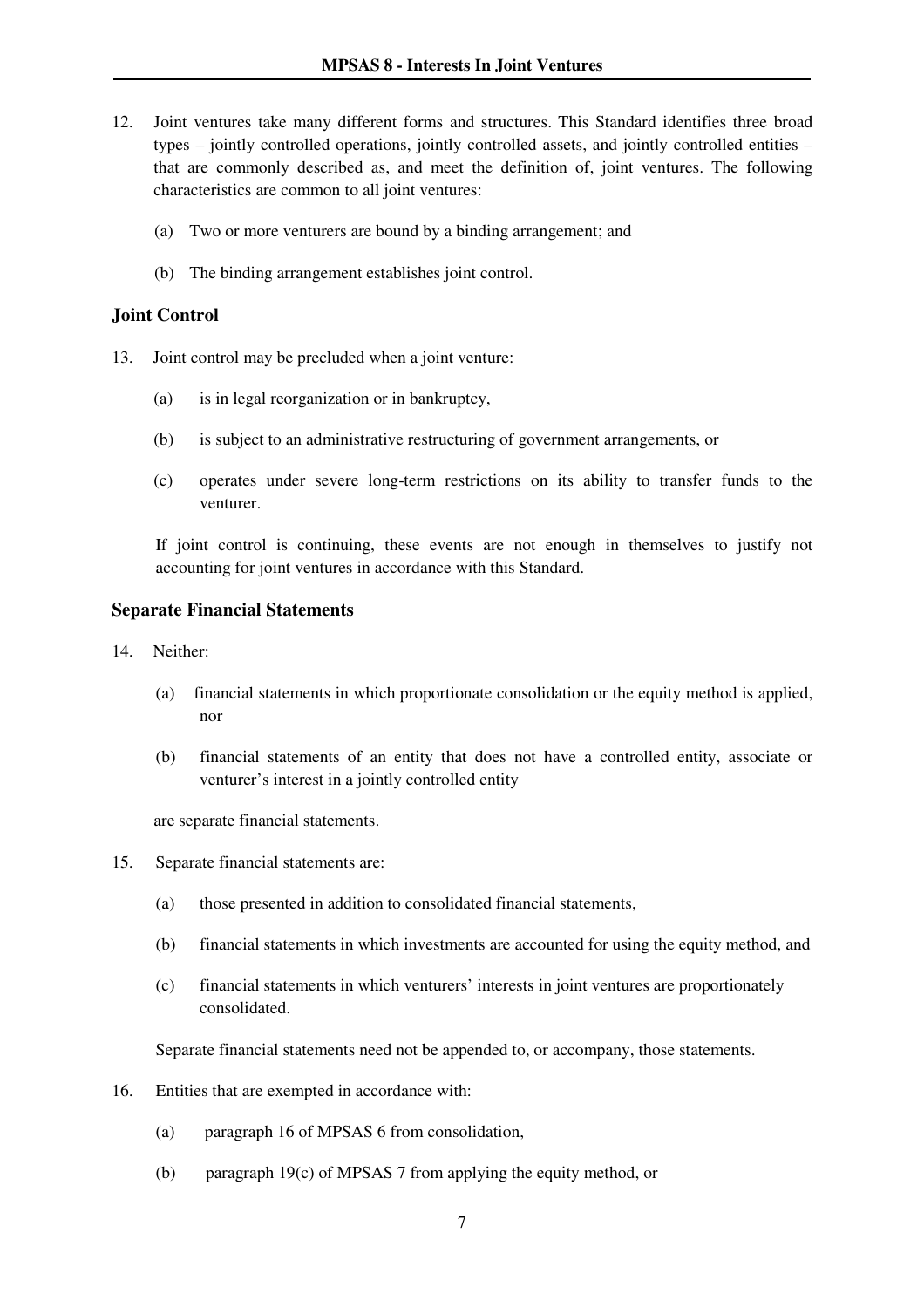- 12. Joint ventures take many different forms and structures. This Standard identifies three broad types – jointly controlled operations, jointly controlled assets, and jointly controlled entities – that are commonly described as, and meet the definition of, joint ventures. The following characteristics are common to all joint ventures:
	- (a) Two or more venturers are bound by a binding arrangement; and
	- (b) The binding arrangement establishes joint control.

#### **Joint Control**

- 13. Joint control may be precluded when a joint venture:
	- (a) is in legal reorganization or in bankruptcy,
	- (b) is subject to an administrative restructuring of government arrangements, or
	- (c) operates under severe long-term restrictions on its ability to transfer funds to the venturer.

If joint control is continuing, these events are not enough in themselves to justify not accounting for joint ventures in accordance with this Standard.

#### **Separate Financial Statements**

- 14. Neither:
	- (a) financial statements in which proportionate consolidation or the equity method is applied, nor
	- (b) financial statements of an entity that does not have a controlled entity, associate or venturer's interest in a jointly controlled entity

are separate financial statements.

- 15. Separate financial statements are:
	- (a) those presented in addition to consolidated financial statements,
	- (b) financial statements in which investments are accounted for using the equity method, and
	- (c) financial statements in which venturers' interests in joint ventures are proportionately consolidated.

Separate financial statements need not be appended to, or accompany, those statements.

- 16. Entities that are exempted in accordance with:
	- (a) paragraph 16 of MPSAS 6 from consolidation,
	- (b) paragraph 19(c) of MPSAS 7 from applying the equity method, or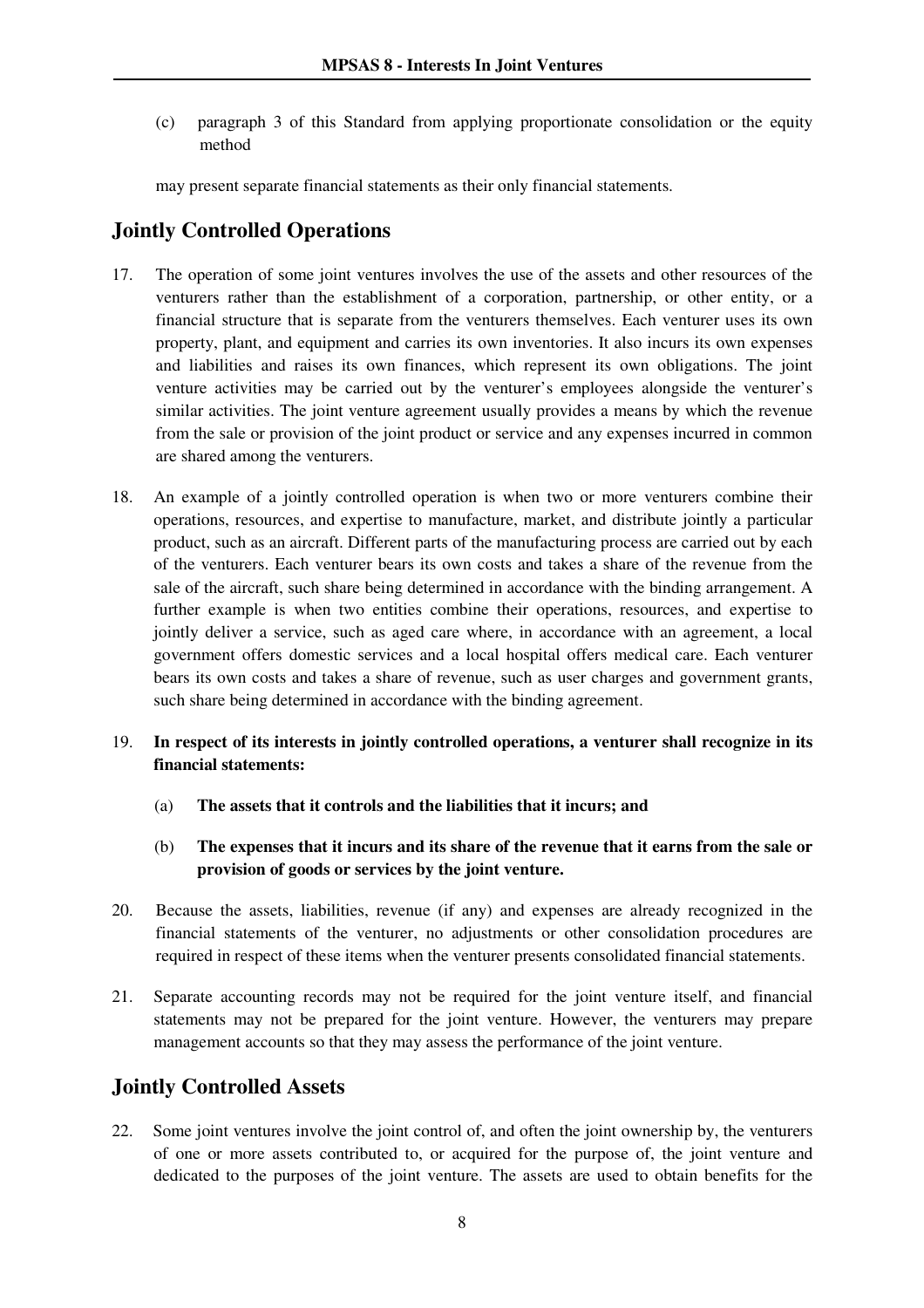(c) paragraph 3 of this Standard from applying proportionate consolidation or the equity method

may present separate financial statements as their only financial statements.

# **Jointly Controlled Operations**

- 17. The operation of some joint ventures involves the use of the assets and other resources of the venturers rather than the establishment of a corporation, partnership, or other entity, or a financial structure that is separate from the venturers themselves. Each venturer uses its own property, plant, and equipment and carries its own inventories. It also incurs its own expenses and liabilities and raises its own finances, which represent its own obligations. The joint venture activities may be carried out by the venturer's employees alongside the venturer's similar activities. The joint venture agreement usually provides a means by which the revenue from the sale or provision of the joint product or service and any expenses incurred in common are shared among the venturers.
- 18. An example of a jointly controlled operation is when two or more venturers combine their operations, resources, and expertise to manufacture, market, and distribute jointly a particular product, such as an aircraft. Different parts of the manufacturing process are carried out by each of the venturers. Each venturer bears its own costs and takes a share of the revenue from the sale of the aircraft, such share being determined in accordance with the binding arrangement. A further example is when two entities combine their operations, resources, and expertise to jointly deliver a service, such as aged care where, in accordance with an agreement, a local government offers domestic services and a local hospital offers medical care. Each venturer bears its own costs and takes a share of revenue, such as user charges and government grants, such share being determined in accordance with the binding agreement.

#### 19. **In respect of its interests in jointly controlled operations, a venturer shall recognize in its financial statements:**

- (a) **The assets that it controls and the liabilities that it incurs; and**
- (b) **The expenses that it incurs and its share of the revenue that it earns from the sale or provision of goods or services by the joint venture.**
- 20. Because the assets, liabilities, revenue (if any) and expenses are already recognized in the financial statements of the venturer, no adjustments or other consolidation procedures are required in respect of these items when the venturer presents consolidated financial statements.
- 21. Separate accounting records may not be required for the joint venture itself, and financial statements may not be prepared for the joint venture. However, the venturers may prepare management accounts so that they may assess the performance of the joint venture.

# **Jointly Controlled Assets**

22. Some joint ventures involve the joint control of, and often the joint ownership by, the venturers of one or more assets contributed to, or acquired for the purpose of, the joint venture and dedicated to the purposes of the joint venture. The assets are used to obtain benefits for the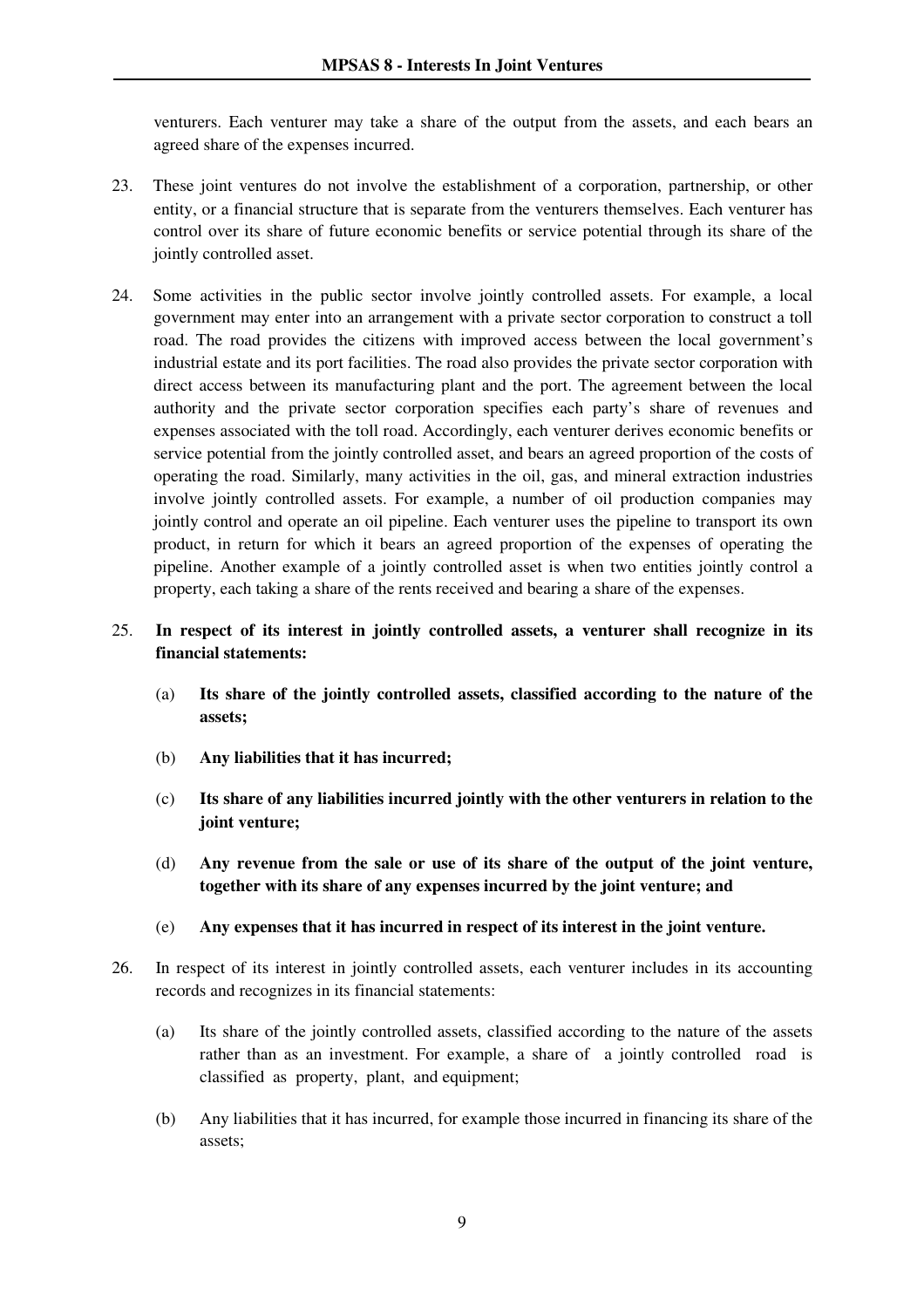venturers. Each venturer may take a share of the output from the assets, and each bears an agreed share of the expenses incurred.

- 23. These joint ventures do not involve the establishment of a corporation, partnership, or other entity, or a financial structure that is separate from the venturers themselves. Each venturer has control over its share of future economic benefits or service potential through its share of the jointly controlled asset.
- 24. Some activities in the public sector involve jointly controlled assets. For example, a local government may enter into an arrangement with a private sector corporation to construct a toll road. The road provides the citizens with improved access between the local government's industrial estate and its port facilities. The road also provides the private sector corporation with direct access between its manufacturing plant and the port. The agreement between the local authority and the private sector corporation specifies each party's share of revenues and expenses associated with the toll road. Accordingly, each venturer derives economic benefits or service potential from the jointly controlled asset, and bears an agreed proportion of the costs of operating the road. Similarly, many activities in the oil, gas, and mineral extraction industries involve jointly controlled assets. For example, a number of oil production companies may jointly control and operate an oil pipeline. Each venturer uses the pipeline to transport its own product, in return for which it bears an agreed proportion of the expenses of operating the pipeline. Another example of a jointly controlled asset is when two entities jointly control a property, each taking a share of the rents received and bearing a share of the expenses.
- 25. **In respect of its interest in jointly controlled assets, a venturer shall recognize in its financial statements:**
	- (a) **Its share of the jointly controlled assets, classified according to the nature of the assets;**
	- (b) **Any liabilities that it has incurred;**
	- (c) **Its share of any liabilities incurred jointly with the other venturers in relation to the joint venture;**
	- (d) **Any revenue from the sale or use of its share of the output of the joint venture, together with its share of any expenses incurred by the joint venture; and**
	- (e) **Any expenses that it has incurred in respect of its interest in the joint venture.**
- 26. In respect of its interest in jointly controlled assets, each venturer includes in its accounting records and recognizes in its financial statements:
	- (a) Its share of the jointly controlled assets, classified according to the nature of the assets rather than as an investment. For example, a share of a jointly controlled road is classified as property, plant, and equipment;
	- (b) Any liabilities that it has incurred, for example those incurred in financing its share of the assets;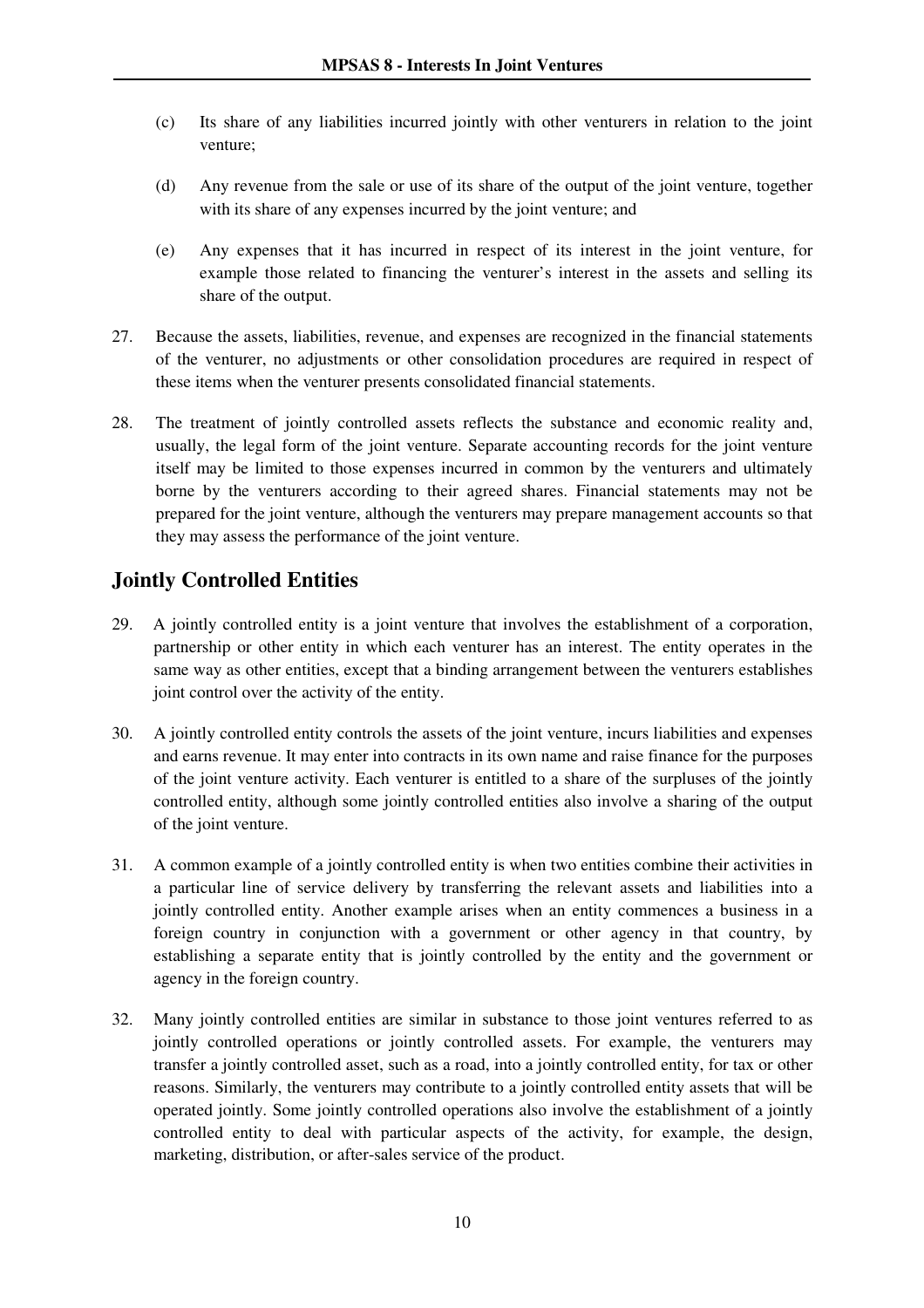- (c) Its share of any liabilities incurred jointly with other venturers in relation to the joint venture;
- (d) Any revenue from the sale or use of its share of the output of the joint venture, together with its share of any expenses incurred by the joint venture; and
- (e) Any expenses that it has incurred in respect of its interest in the joint venture, for example those related to financing the venturer's interest in the assets and selling its share of the output.
- 27. Because the assets, liabilities, revenue, and expenses are recognized in the financial statements of the venturer, no adjustments or other consolidation procedures are required in respect of these items when the venturer presents consolidated financial statements.
- 28. The treatment of jointly controlled assets reflects the substance and economic reality and, usually, the legal form of the joint venture. Separate accounting records for the joint venture itself may be limited to those expenses incurred in common by the venturers and ultimately borne by the venturers according to their agreed shares. Financial statements may not be prepared for the joint venture, although the venturers may prepare management accounts so that they may assess the performance of the joint venture.

# **Jointly Controlled Entities**

- 29. A jointly controlled entity is a joint venture that involves the establishment of a corporation, partnership or other entity in which each venturer has an interest. The entity operates in the same way as other entities, except that a binding arrangement between the venturers establishes joint control over the activity of the entity.
- 30. A jointly controlled entity controls the assets of the joint venture, incurs liabilities and expenses and earns revenue. It may enter into contracts in its own name and raise finance for the purposes of the joint venture activity. Each venturer is entitled to a share of the surpluses of the jointly controlled entity, although some jointly controlled entities also involve a sharing of the output of the joint venture.
- 31. A common example of a jointly controlled entity is when two entities combine their activities in a particular line of service delivery by transferring the relevant assets and liabilities into a jointly controlled entity. Another example arises when an entity commences a business in a foreign country in conjunction with a government or other agency in that country, by establishing a separate entity that is jointly controlled by the entity and the government or agency in the foreign country.
- 32. Many jointly controlled entities are similar in substance to those joint ventures referred to as jointly controlled operations or jointly controlled assets. For example, the venturers may transfer a jointly controlled asset, such as a road, into a jointly controlled entity, for tax or other reasons. Similarly, the venturers may contribute to a jointly controlled entity assets that will be operated jointly. Some jointly controlled operations also involve the establishment of a jointly controlled entity to deal with particular aspects of the activity, for example, the design, marketing, distribution, or after-sales service of the product.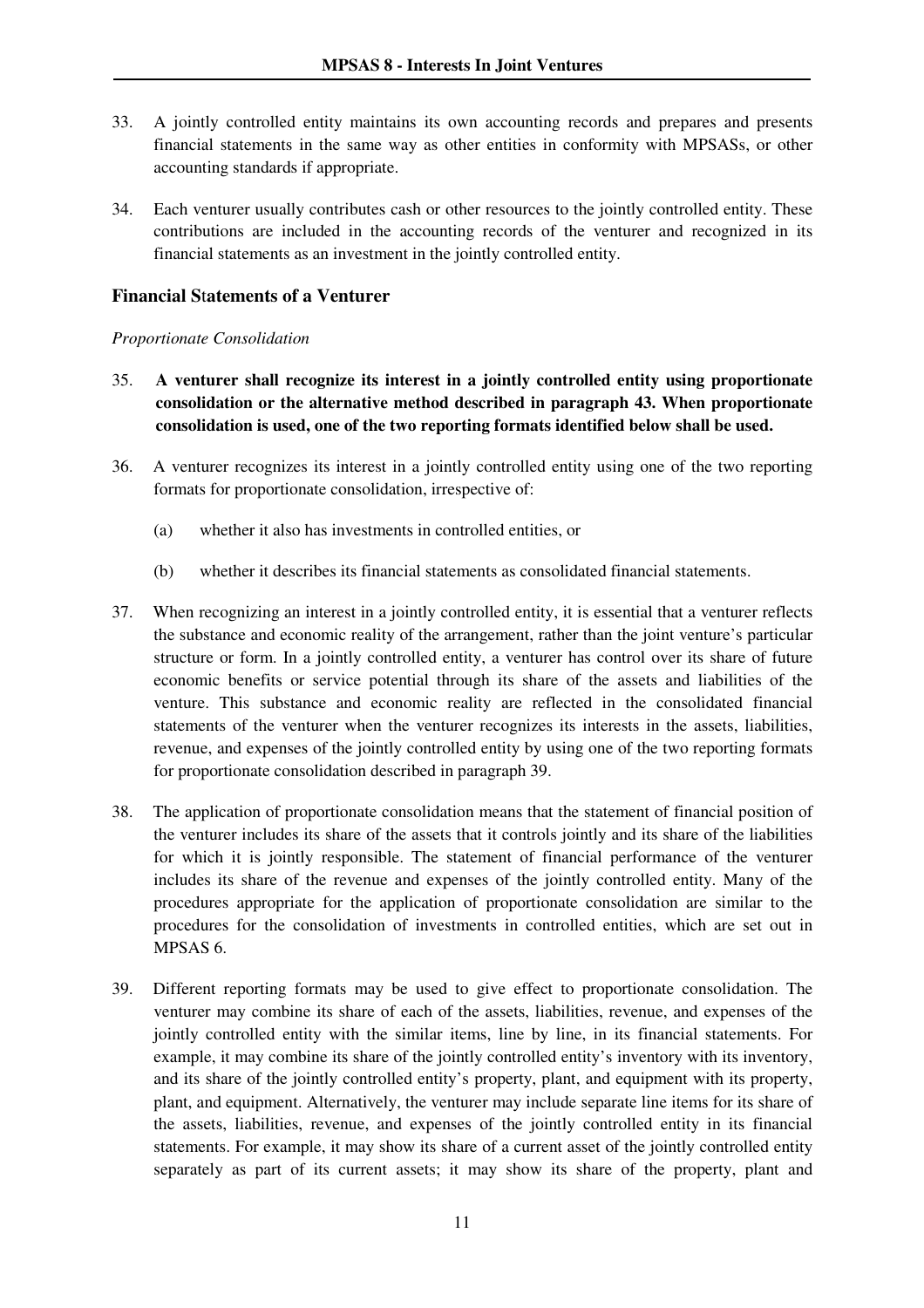- 33. A jointly controlled entity maintains its own accounting records and prepares and presents financial statements in the same way as other entities in conformity with MPSASs, or other accounting standards if appropriate.
- 34. Each venturer usually contributes cash or other resources to the jointly controlled entity. These contributions are included in the accounting records of the venturer and recognized in its financial statements as an investment in the jointly controlled entity.

#### **Financial S**t**atements of a Venturer**

#### *Proportionate Consolidation*

- 35. **A venturer shall recognize its interest in a jointly controlled entity using proportionate consolidation or the alternative method described in paragraph 43. When proportionate consolidation is used, one of the two reporting formats identified below shall be used.**
- 36. A venturer recognizes its interest in a jointly controlled entity using one of the two reporting formats for proportionate consolidation, irrespective of:
	- (a) whether it also has investments in controlled entities, or
	- (b) whether it describes its financial statements as consolidated financial statements.
- 37. When recognizing an interest in a jointly controlled entity, it is essential that a venturer reflects the substance and economic reality of the arrangement, rather than the joint venture's particular structure or form. In a jointly controlled entity, a venturer has control over its share of future economic benefits or service potential through its share of the assets and liabilities of the venture. This substance and economic reality are reflected in the consolidated financial statements of the venturer when the venturer recognizes its interests in the assets, liabilities, revenue, and expenses of the jointly controlled entity by using one of the two reporting formats for proportionate consolidation described in paragraph 39.
- 38. The application of proportionate consolidation means that the statement of financial position of the venturer includes its share of the assets that it controls jointly and its share of the liabilities for which it is jointly responsible. The statement of financial performance of the venturer includes its share of the revenue and expenses of the jointly controlled entity. Many of the procedures appropriate for the application of proportionate consolidation are similar to the procedures for the consolidation of investments in controlled entities, which are set out in MPSAS 6.
- 39. Different reporting formats may be used to give effect to proportionate consolidation. The venturer may combine its share of each of the assets, liabilities, revenue, and expenses of the jointly controlled entity with the similar items, line by line, in its financial statements. For example, it may combine its share of the jointly controlled entity's inventory with its inventory, and its share of the jointly controlled entity's property, plant, and equipment with its property, plant, and equipment. Alternatively, the venturer may include separate line items for its share of the assets, liabilities, revenue, and expenses of the jointly controlled entity in its financial statements. For example, it may show its share of a current asset of the jointly controlled entity separately as part of its current assets; it may show its share of the property, plant and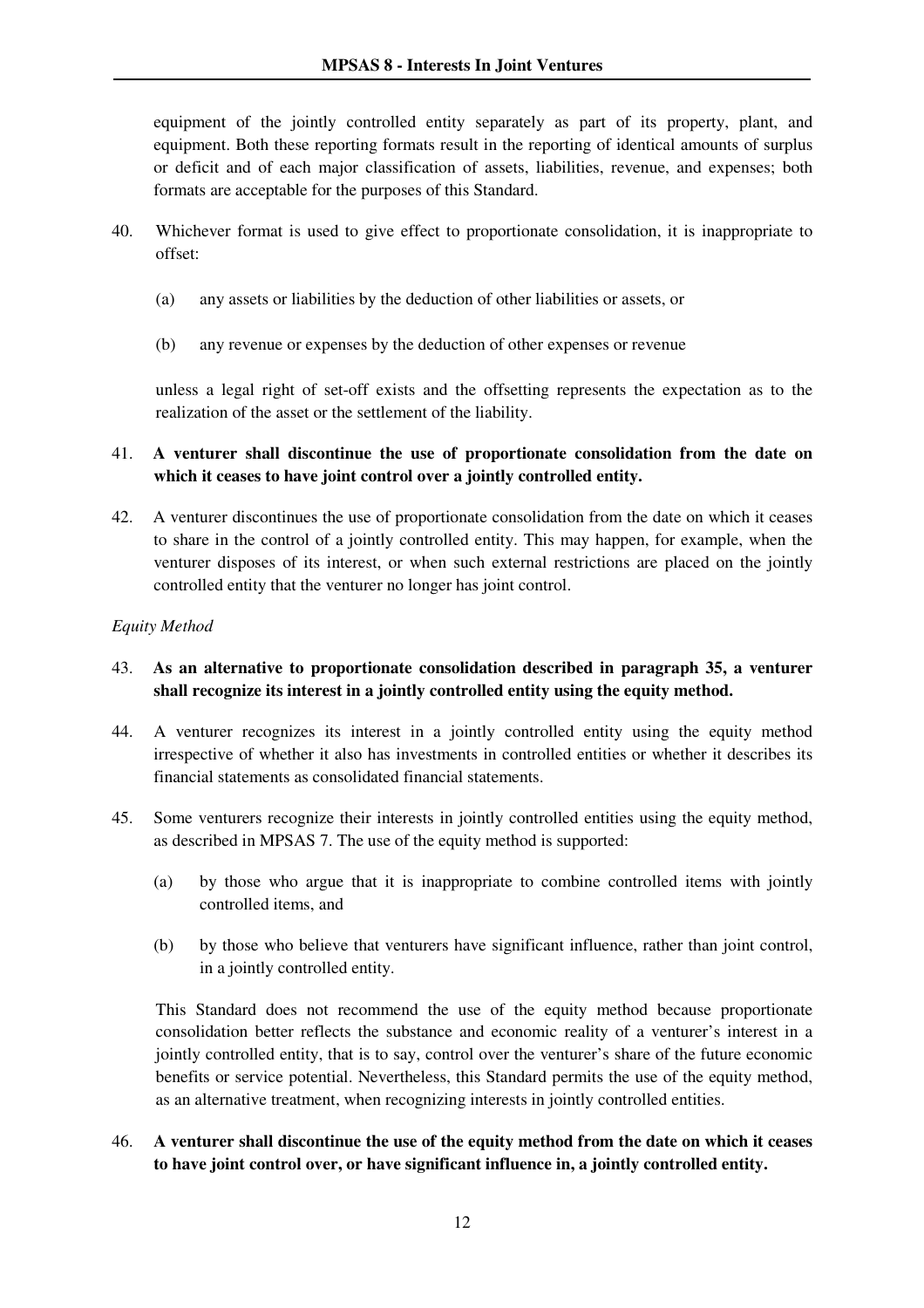equipment of the jointly controlled entity separately as part of its property, plant, and equipment. Both these reporting formats result in the reporting of identical amounts of surplus or deficit and of each major classification of assets, liabilities, revenue, and expenses; both formats are acceptable for the purposes of this Standard.

- 40. Whichever format is used to give effect to proportionate consolidation, it is inappropriate to offset:
	- (a) any assets or liabilities by the deduction of other liabilities or assets, or
	- (b) any revenue or expenses by the deduction of other expenses or revenue

unless a legal right of set-off exists and the offsetting represents the expectation as to the realization of the asset or the settlement of the liability.

#### 41. **A venturer shall discontinue the use of proportionate consolidation from the date on which it ceases to have joint control over a jointly controlled entity.**

42. A venturer discontinues the use of proportionate consolidation from the date on which it ceases to share in the control of a jointly controlled entity. This may happen, for example, when the venturer disposes of its interest, or when such external restrictions are placed on the jointly controlled entity that the venturer no longer has joint control.

#### *Equity Method*

- 43. **As an alternative to proportionate consolidation described in paragraph 35, a venturer shall recognize its interest in a jointly controlled entity using the equity method.**
- 44. A venturer recognizes its interest in a jointly controlled entity using the equity method irrespective of whether it also has investments in controlled entities or whether it describes its financial statements as consolidated financial statements.
- 45. Some venturers recognize their interests in jointly controlled entities using the equity method, as described in MPSAS 7. The use of the equity method is supported:
	- (a) by those who argue that it is inappropriate to combine controlled items with jointly controlled items, and
	- (b) by those who believe that venturers have significant influence, rather than joint control, in a jointly controlled entity.

This Standard does not recommend the use of the equity method because proportionate consolidation better reflects the substance and economic reality of a venturer's interest in a jointly controlled entity, that is to say, control over the venturer's share of the future economic benefits or service potential. Nevertheless, this Standard permits the use of the equity method, as an alternative treatment, when recognizing interests in jointly controlled entities.

#### 46. **A venturer shall discontinue the use of the equity method from the date on which it ceases to have joint control over, or have significant influence in, a jointly controlled entity.**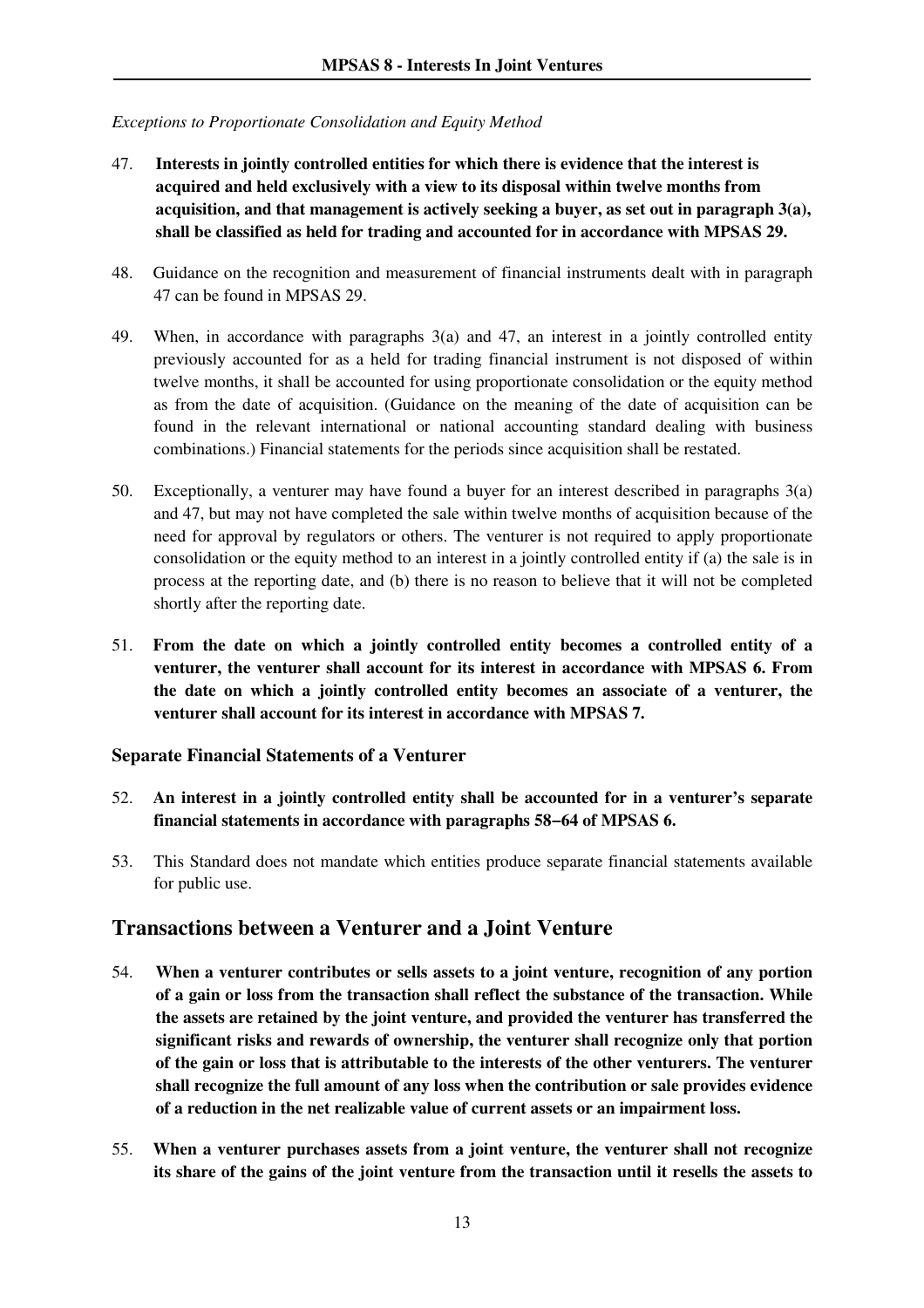#### *Exceptions to Proportionate Consolidation and Equity Method*

- 47. **Interests in jointly controlled entities for which there is evidence that the interest is acquired and held exclusively with a view to its disposal within twelve months from acquisition, and that management is actively seeking a buyer, as set out in paragraph 3(a), shall be classified as held for trading and accounted for in accordance with MPSAS 29.**
- 48. Guidance on the recognition and measurement of financial instruments dealt with in paragraph 47 can be found in MPSAS 29.
- 49. When, in accordance with paragraphs 3(a) and 47, an interest in a jointly controlled entity previously accounted for as a held for trading financial instrument is not disposed of within twelve months, it shall be accounted for using proportionate consolidation or the equity method as from the date of acquisition. (Guidance on the meaning of the date of acquisition can be found in the relevant international or national accounting standard dealing with business combinations.) Financial statements for the periods since acquisition shall be restated.
- 50. Exceptionally, a venturer may have found a buyer for an interest described in paragraphs 3(a) and 47, but may not have completed the sale within twelve months of acquisition because of the need for approval by regulators or others. The venturer is not required to apply proportionate consolidation or the equity method to an interest in a jointly controlled entity if (a) the sale is in process at the reporting date, and (b) there is no reason to believe that it will not be completed shortly after the reporting date.
- 51. **From the date on which a jointly controlled entity becomes a controlled entity of a venturer, the venturer shall account for its interest in accordance with MPSAS 6. From the date on which a jointly controlled entity becomes an associate of a venturer, the venturer shall account for its interest in accordance with MPSAS 7.**

#### **Separate Financial Statements of a Venturer**

- 52. **An interest in a jointly controlled entity shall be accounted for in a venturer's separate financial statements in accordance with paragraphs 58−64 of MPSAS 6.**
- 53. This Standard does not mandate which entities produce separate financial statements available for public use.

### **Transactions between a Venturer and a Joint Venture**

- 54. **When a venturer contributes or sells assets to a joint venture, recognition of any portion of a gain or loss from the transaction shall reflect the substance of the transaction. While the assets are retained by the joint venture, and provided the venturer has transferred the significant risks and rewards of ownership, the venturer shall recognize only that portion of the gain or loss that is attributable to the interests of the other venturers. The venturer shall recognize the full amount of any loss when the contribution or sale provides evidence of a reduction in the net realizable value of current assets or an impairment loss.**
- 55. **When a venturer purchases assets from a joint venture, the venturer shall not recognize its share of the gains of the joint venture from the transaction until it resells the assets to**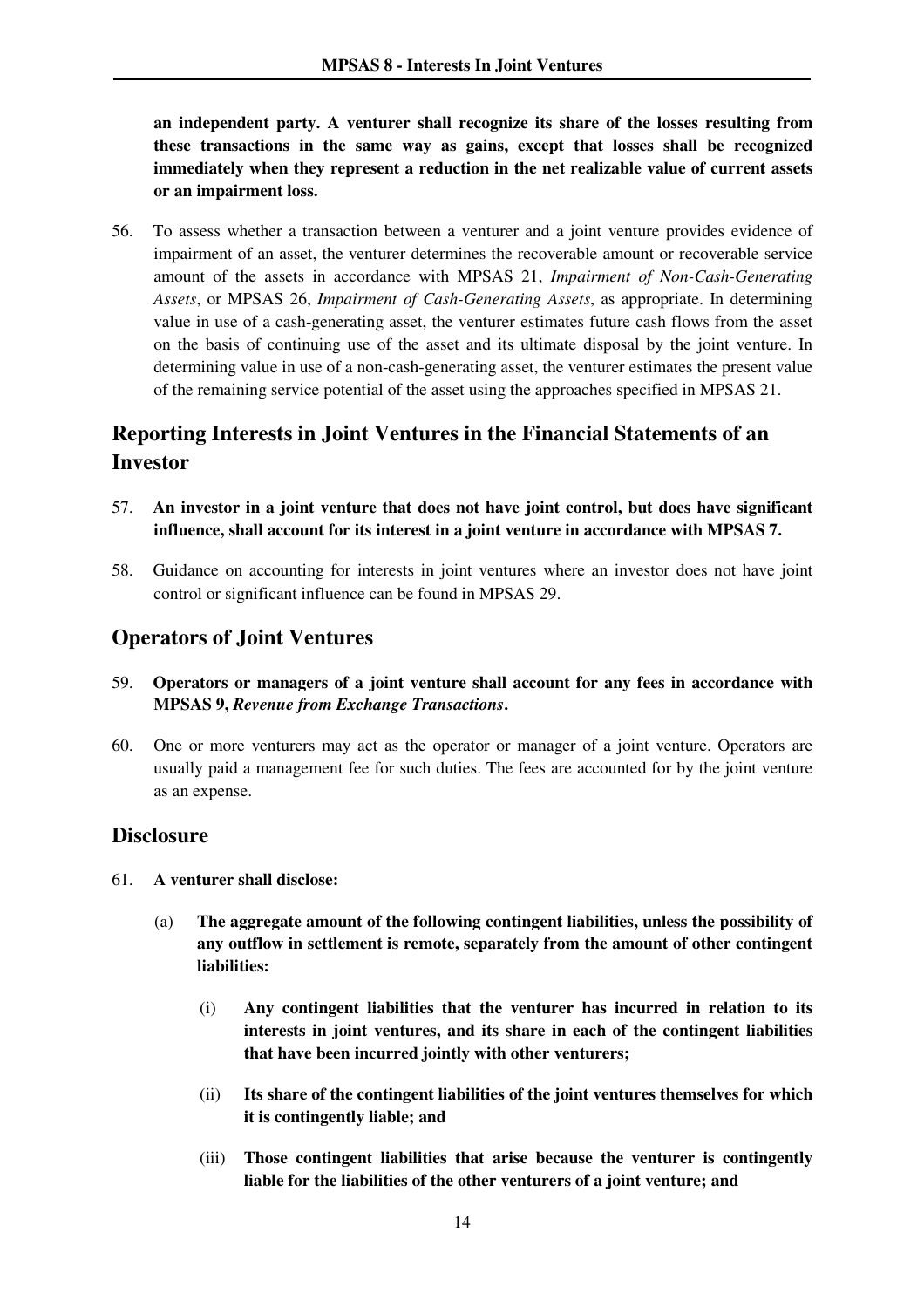**an independent party. A venturer shall recognize its share of the losses resulting from these transactions in the same way as gains, except that losses shall be recognized immediately when they represent a reduction in the net realizable value of current assets or an impairment loss.** 

56. To assess whether a transaction between a venturer and a joint venture provides evidence of impairment of an asset, the venturer determines the recoverable amount or recoverable service amount of the assets in accordance with MPSAS 21, *Impairment of Non-Cash-Generating Assets*, or MPSAS 26, *Impairment of Cash-Generating Assets*, as appropriate. In determining value in use of a cash-generating asset, the venturer estimates future cash flows from the asset on the basis of continuing use of the asset and its ultimate disposal by the joint venture. In determining value in use of a non-cash-generating asset, the venturer estimates the present value of the remaining service potential of the asset using the approaches specified in MPSAS 21.

# **Reporting Interests in Joint Ventures in the Financial Statements of an Investor**

- 57. **An investor in a joint venture that does not have joint control, but does have significant influence, shall account for its interest in a joint venture in accordance with MPSAS 7.**
- 58. Guidance on accounting for interests in joint ventures where an investor does not have joint control or significant influence can be found in MPSAS 29.

## **Operators of Joint Ventures**

- 59. **Operators or managers of a joint venture shall account for any fees in accordance with MPSAS 9,** *Revenue from Exchange Transactions***.**
- 60. One or more venturers may act as the operator or manager of a joint venture. Operators are usually paid a management fee for such duties. The fees are accounted for by the joint venture as an expense.

### **Disclosure**

- 61. **A venturer shall disclose:** 
	- (a) **The aggregate amount of the following contingent liabilities, unless the possibility of any outflow in settlement is remote, separately from the amount of other contingent liabilities:** 
		- (i) **Any contingent liabilities that the venturer has incurred in relation to its interests in joint ventures, and its share in each of the contingent liabilities that have been incurred jointly with other venturers;**
		- (ii) **Its share of the contingent liabilities of the joint ventures themselves for which it is contingently liable; and**
		- (iii) **Those contingent liabilities that arise because the venturer is contingently liable for the liabilities of the other venturers of a joint venture; and**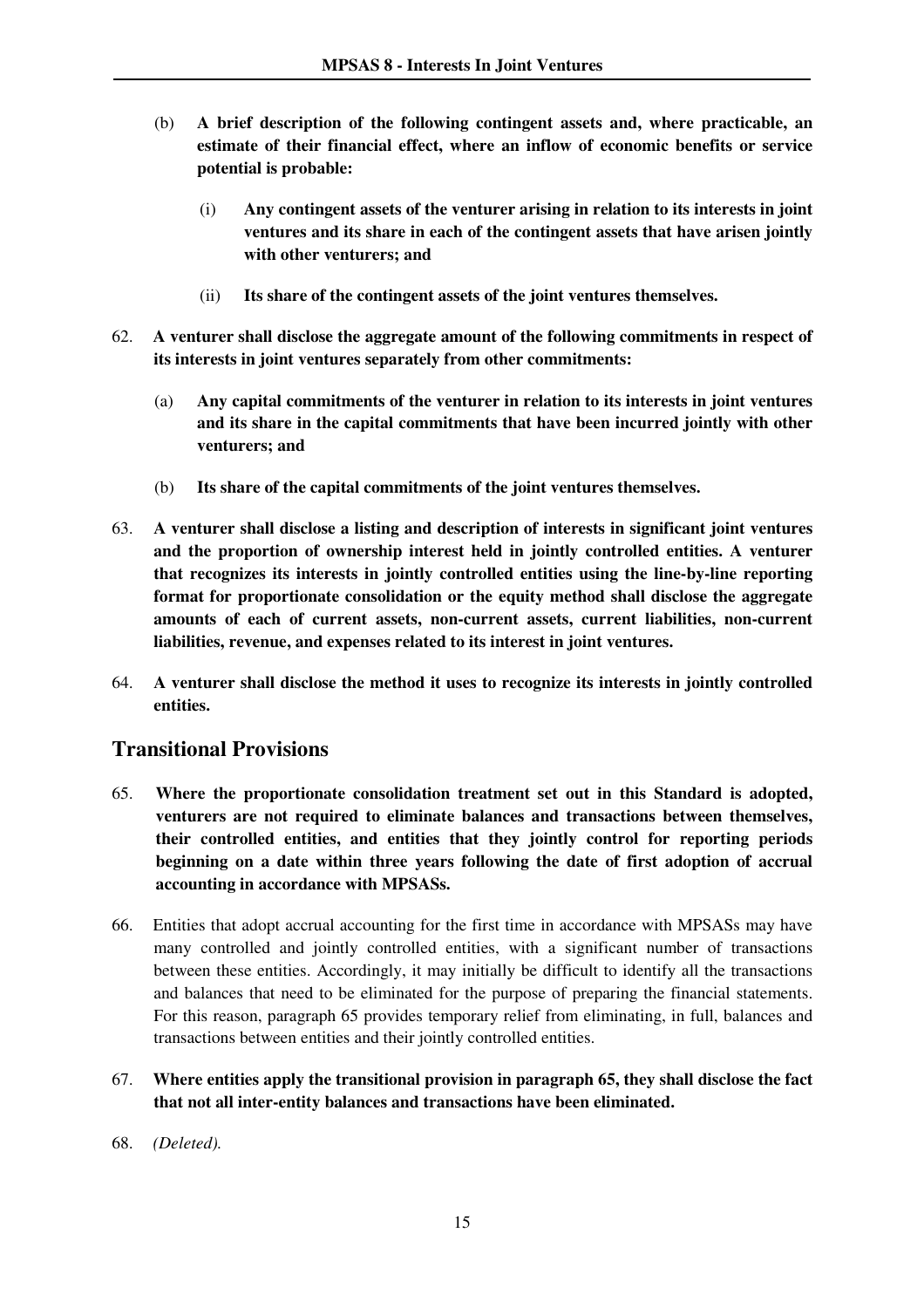- (b) **A brief description of the following contingent assets and, where practicable, an estimate of their financial effect, where an inflow of economic benefits or service potential is probable:** 
	- (i) **Any contingent assets of the venturer arising in relation to its interests in joint ventures and its share in each of the contingent assets that have arisen jointly with other venturers; and**
	- (ii) **Its share of the contingent assets of the joint ventures themselves.**
- 62. **A venturer shall disclose the aggregate amount of the following commitments in respect of its interests in joint ventures separately from other commitments:** 
	- (a) **Any capital commitments of the venturer in relation to its interests in joint ventures and its share in the capital commitments that have been incurred jointly with other venturers; and**
	- (b) **Its share of the capital commitments of the joint ventures themselves.**
- 63. **A venturer shall disclose a listing and description of interests in significant joint ventures and the proportion of ownership interest held in jointly controlled entities. A venturer that recognizes its interests in jointly controlled entities using the line-by-line reporting format for proportionate consolidation or the equity method shall disclose the aggregate amounts of each of current assets, non-current assets, current liabilities, non-current liabilities, revenue, and expenses related to its interest in joint ventures.**
- 64. **A venturer shall disclose the method it uses to recognize its interests in jointly controlled entities.**

# **Transitional Provisions**

- 65. **Where the proportionate consolidation treatment set out in this Standard is adopted, venturers are not required to eliminate balances and transactions between themselves, their controlled entities, and entities that they jointly control for reporting periods beginning on a date within three years following the date of first adoption of accrual accounting in accordance with MPSASs.**
- 66. Entities that adopt accrual accounting for the first time in accordance with MPSASs may have many controlled and jointly controlled entities, with a significant number of transactions between these entities. Accordingly, it may initially be difficult to identify all the transactions and balances that need to be eliminated for the purpose of preparing the financial statements. For this reason, paragraph 65 provides temporary relief from eliminating, in full, balances and transactions between entities and their jointly controlled entities.
- 67. **Where entities apply the transitional provision in paragraph 65, they shall disclose the fact that not all inter-entity balances and transactions have been eliminated.**
- 68. *(Deleted).*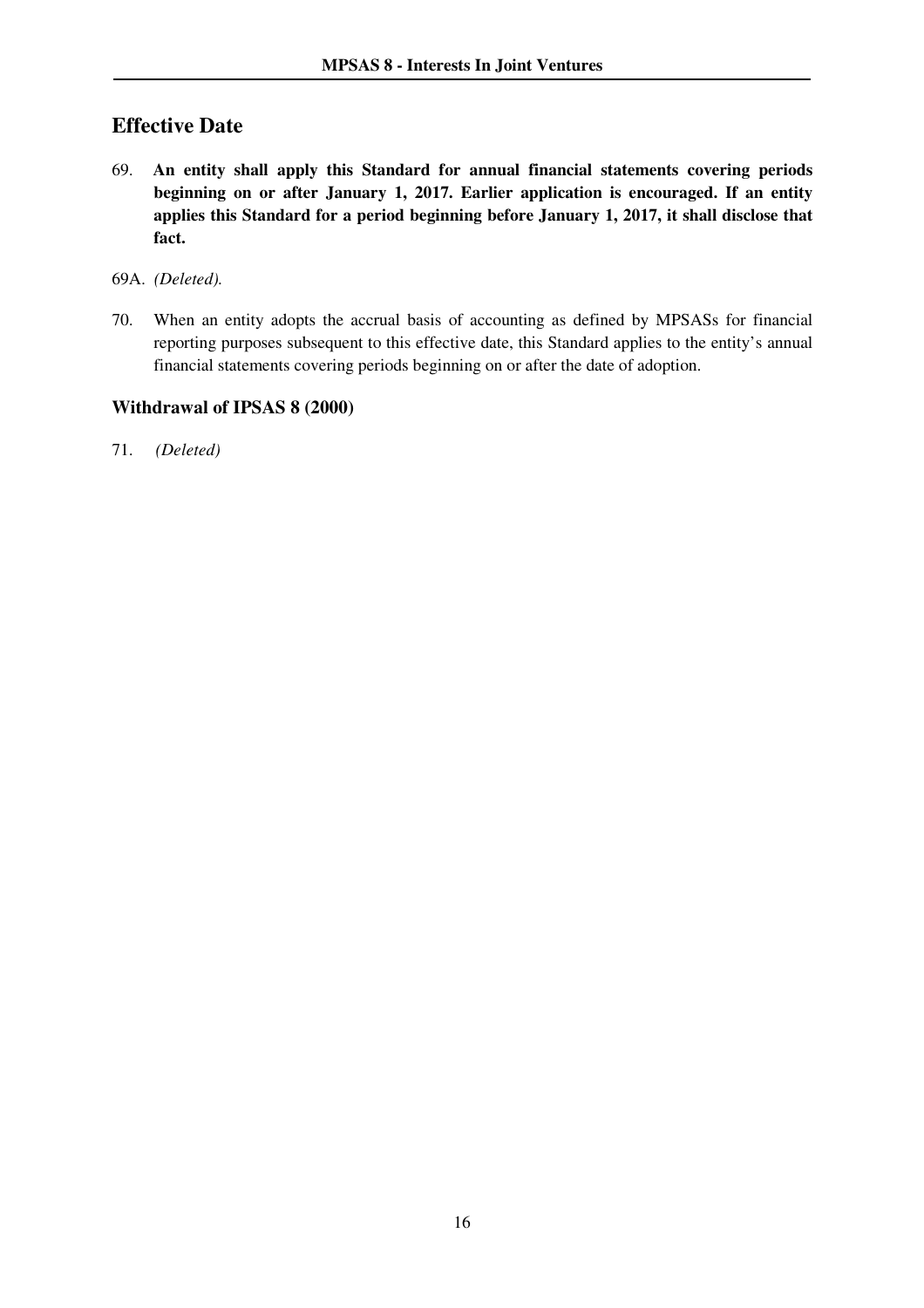# **Effective Date**

- 69. **An entity shall apply this Standard for annual financial statements covering periods beginning on or after January 1, 2017. Earlier application is encouraged. If an entity applies this Standard for a period beginning before January 1, 2017, it shall disclose that fact.**
- 69A. *(Deleted).*
- 70. When an entity adopts the accrual basis of accounting as defined by MPSASs for financial reporting purposes subsequent to this effective date, this Standard applies to the entity's annual financial statements covering periods beginning on or after the date of adoption.

#### **Withdrawal of IPSAS 8 (2000)**

71. *(Deleted)*